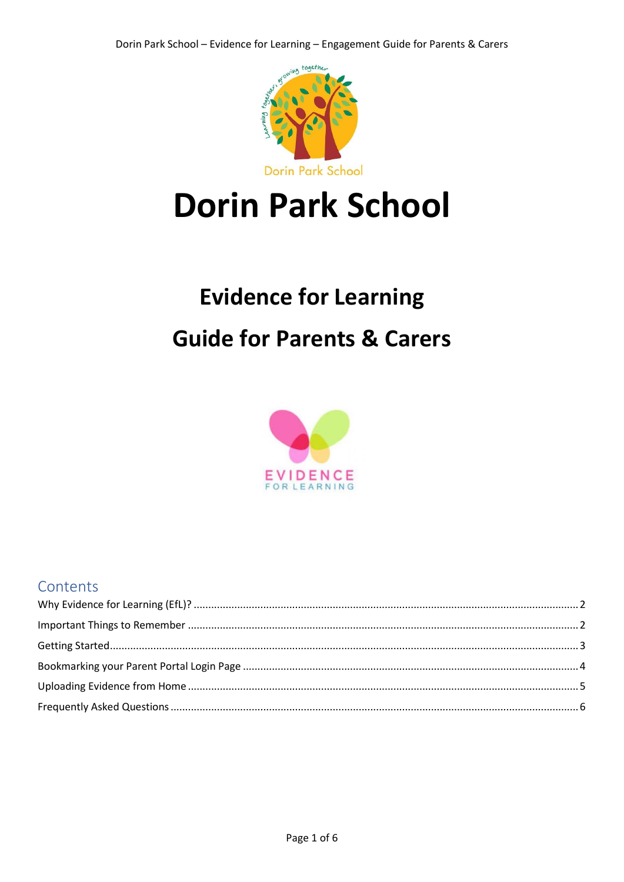

# **Dorin Park School**

## **Evidence for Learning Guide for Parents & Carers**



### Contents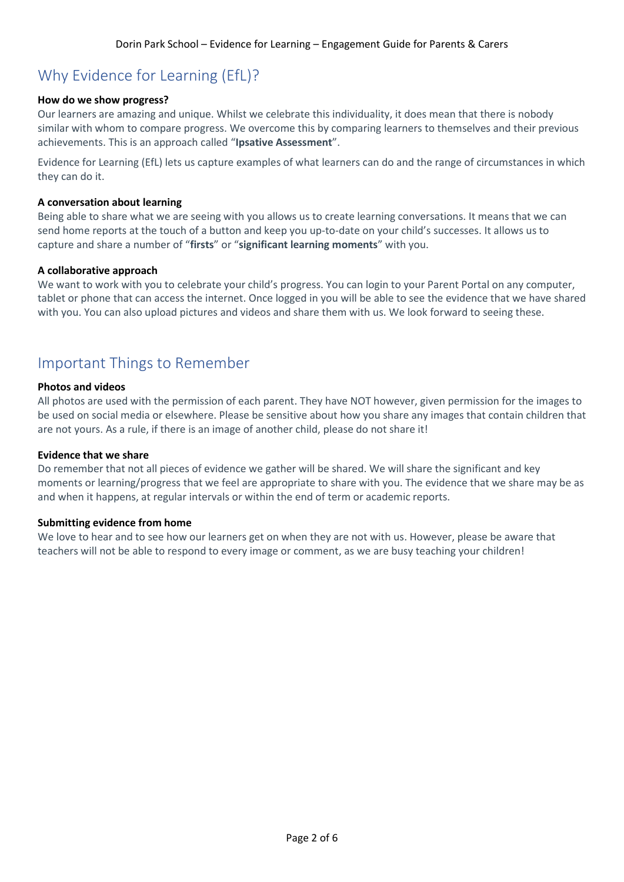## <span id="page-1-0"></span>Why Evidence for Learning (EfL)?

#### **How do we show progress?**

Our learners are amazing and unique. Whilst we celebrate this individuality, it does mean that there is nobody similar with whom to compare progress. We overcome this by comparing learners to themselves and their previous achievements. This is an approach called "**Ipsative Assessment**".

Evidence for Learning (EfL) lets us capture examples of what learners can do and the range of circumstances in which they can do it.

#### **A conversation about learning**

Being able to share what we are seeing with you allows us to create learning conversations. It means that we can send home reports at the touch of a button and keep you up-to-date on your child's successes. It allows us to capture and share a number of "**firsts**" or "**significant learning moments**" with you.

#### **A collaborative approach**

We want to work with you to celebrate your child's progress. You can login to your Parent Portal on any computer, tablet or phone that can access the internet. Once logged in you will be able to see the evidence that we have shared with you. You can also upload pictures and videos and share them with us. We look forward to seeing these.

## <span id="page-1-1"></span>Important Things to Remember

#### **Photos and videos**

All photos are used with the permission of each parent. They have NOT however, given permission for the images to be used on social media or elsewhere. Please be sensitive about how you share any images that contain children that are not yours. As a rule, if there is an image of another child, please do not share it!

#### **Evidence that we share**

Do remember that not all pieces of evidence we gather will be shared. We will share the significant and key moments or learning/progress that we feel are appropriate to share with you. The evidence that we share may be as and when it happens, at regular intervals or within the end of term or academic reports.

#### **Submitting evidence from home**

We love to hear and to see how our learners get on when they are not with us. However, please be aware that teachers will not be able to respond to every image or comment, as we are busy teaching your children!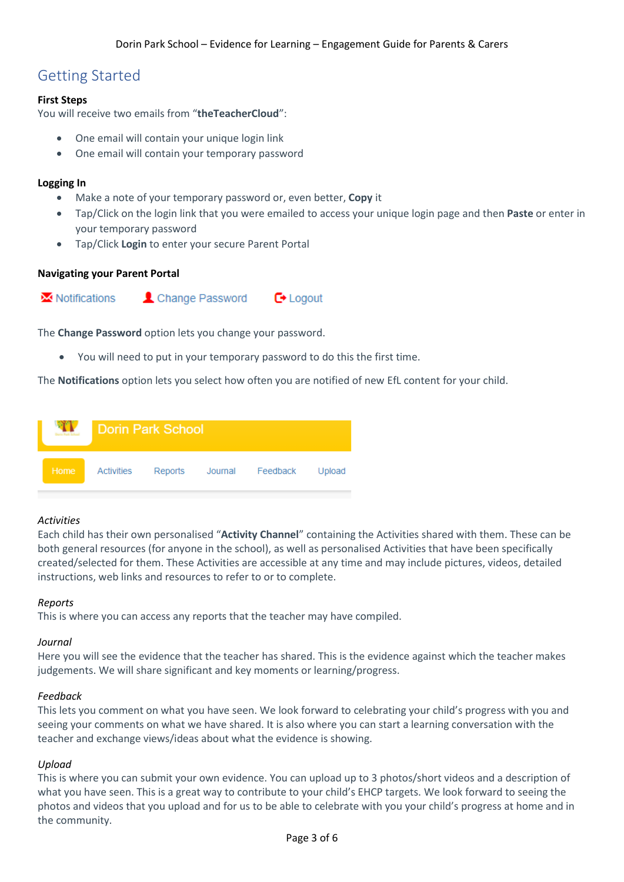## <span id="page-2-0"></span>Getting Started

#### **First Steps**

You will receive two emails from "**theTeacherCloud**":

- One email will contain your unique login link
- One email will contain your temporary password

#### **Logging In**

- Make a note of your temporary password or, even better, **Copy** it
- Tap/Click on the login link that you were emailed to access your unique login page and then **Paste** or enter in your temporary password
- Tap/Click **Login** to enter your secure Parent Portal

#### **Navigating your Parent Portal**



The **Change Password** option lets you change your password.

You will need to put in your temporary password to do this the first time.

The **Notifications** option lets you select how often you are notified of new EfL content for your child.

|      |            | Dorin Park School |                  |        |
|------|------------|-------------------|------------------|--------|
| Home | Activities | Reports           | Journal Feedback | Upload |

#### *Activities*

Each child has their own personalised "**Activity Channel**" containing the Activities shared with them. These can be both general resources (for anyone in the school), as well as personalised Activities that have been specifically created/selected for them. These Activities are accessible at any time and may include pictures, videos, detailed instructions, web links and resources to refer to or to complete.

#### *Reports*

This is where you can access any reports that the teacher may have compiled.

#### *Journal*

Here you will see the evidence that the teacher has shared. This is the evidence against which the teacher makes judgements. We will share significant and key moments or learning/progress.

#### *Feedback*

This lets you comment on what you have seen. We look forward to celebrating your child's progress with you and seeing your comments on what we have shared. It is also where you can start a learning conversation with the teacher and exchange views/ideas about what the evidence is showing.

#### *Upload*

This is where you can submit your own evidence. You can upload up to 3 photos/short videos and a description of what you have seen. This is a great way to contribute to your child's EHCP targets. We look forward to seeing the photos and videos that you upload and for us to be able to celebrate with you your child's progress at home and in the community.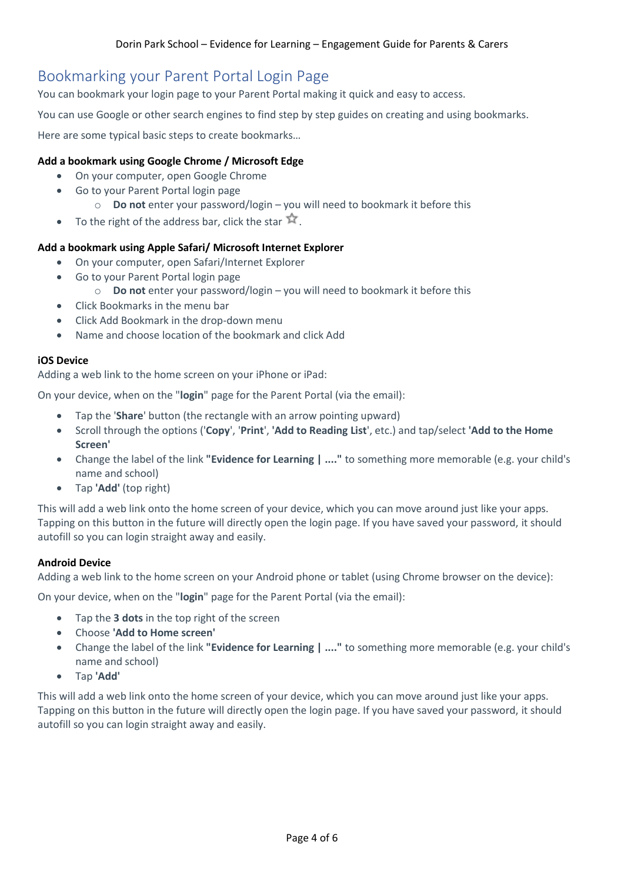## <span id="page-3-0"></span>Bookmarking your Parent Portal Login Page

You can bookmark your login page to your Parent Portal making it quick and easy to access.

You can use Google or other search engines to find step by step guides on creating and using bookmarks.

Here are some typical basic steps to create bookmarks…

#### **Add a bookmark using Google Chrome / Microsoft Edge**

- On your computer, open Google Chrome
- Go to your Parent Portal login page
	- o **Do not** enter your password/login you will need to bookmark it before this
- To the right of the address bar, click the star  $\hat{X}$ .

#### **Add a bookmark using Apple Safari/ Microsoft Internet Explorer**

- On your computer, open Safari/Internet Explorer
- Go to your Parent Portal login page
	- o **Do not** enter your password/login you will need to bookmark it before this
- Click Bookmarks in the menu bar
- Click Add Bookmark in the drop-down menu
- Name and choose location of the bookmark and click Add

#### **iOS Device**

Adding a web link to the home screen on your iPhone or iPad:

On your device, when on the "**login**" page for the Parent Portal (via the email):

- Tap the '**Share**' button (the rectangle with an arrow pointing upward)
- Scroll through the options ('**Copy**', '**Print**', **'Add to Reading List**', etc.) and tap/select **'Add to the Home Screen'**
- Change the label of the link **"Evidence for Learning | ...."** to something more memorable (e.g. your child's name and school)
- Tap **'Add'** (top right)

This will add a web link onto the home screen of your device, which you can move around just like your apps. Tapping on this button in the future will directly open the login page. If you have saved your password, it should autofill so you can login straight away and easily.

#### **Android Device**

Adding a web link to the home screen on your Android phone or tablet (using Chrome browser on the device):

On your device, when on the "**login**" page for the Parent Portal (via the email):

- Tap the **3 dots** in the top right of the screen
- Choose **'Add to Home screen'**
- Change the label of the link **"Evidence for Learning | ...."** to something more memorable (e.g. your child's name and school)
- Tap **'Add'**

This will add a web link onto the home screen of your device, which you can move around just like your apps. Tapping on this button in the future will directly open the login page. If you have saved your password, it should autofill so you can login straight away and easily.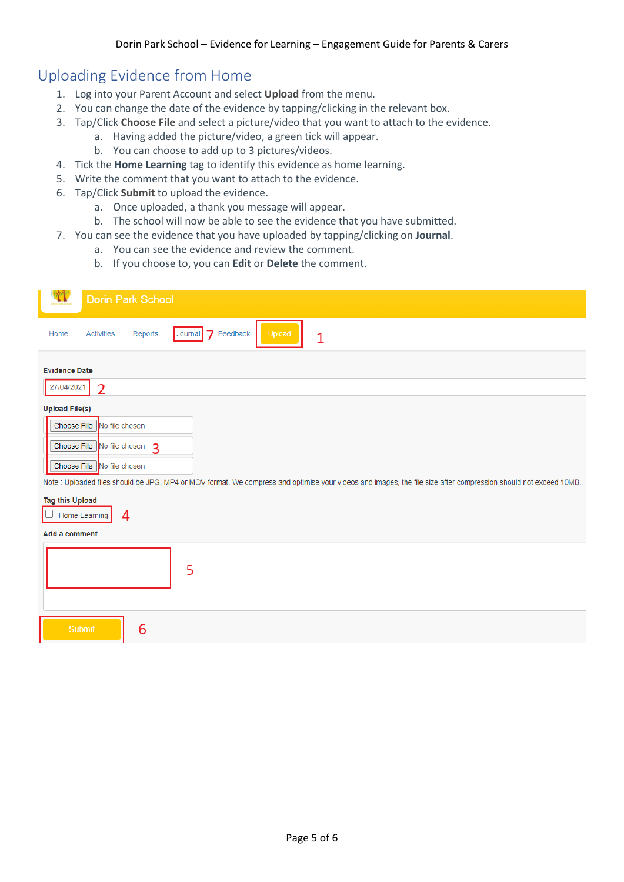## <span id="page-4-0"></span>Uploading Evidence from Home

- 1. Log into your Parent Account and select **Upload** from the menu.
- 2. You can change the date of the evidence by tapping/clicking in the relevant box.
- 3. Tap/Click **Choose File** and select a picture/video that you want to attach to the evidence.
	- a. Having added the picture/video, a green tick will appear.
	- b. You can choose to add up to 3 pictures/videos.
- 4. Tick the **Home Learning** tag to identify this evidence as home learning.
- 5. Write the comment that you want to attach to the evidence.
- 6. Tap/Click **Submit** to upload the evidence.

6

- a. Once uploaded, a thank you message will appear.
- b. The school will now be able to see the evidence that you have submitted.
- 7. You can see the evidence that you have uploaded by tapping/clicking on **Journal**.
	- a. You can see the evidence and review the comment.
	- b. If you choose to, you can **Edit** or **Delete** the comment.

| <b>Dorin Park School</b>                                                                                                                                                                                                                                                                   |
|--------------------------------------------------------------------------------------------------------------------------------------------------------------------------------------------------------------------------------------------------------------------------------------------|
| Feedback<br>$\overline{7}$<br>Upload<br><b>Activities</b><br>Journal<br>Reports<br>Home<br>$\mathbf{1}$                                                                                                                                                                                    |
| <b>Evidence Date</b>                                                                                                                                                                                                                                                                       |
| 27/04/2021<br>$\overline{2}$                                                                                                                                                                                                                                                               |
| <b>Upload File(s)</b><br>Choose File<br>No file chosen<br>Choose File No file chosen 3<br>Choose File   No file chosen<br>Note : Uploaded files should be JPG, MP4 or MOV format. We compress and optimise your videos and images, the file size after compression should not exceed 10MB. |
| <b>Tag this Upload</b><br>Home Learning<br>4<br>Add a comment                                                                                                                                                                                                                              |
| 5                                                                                                                                                                                                                                                                                          |